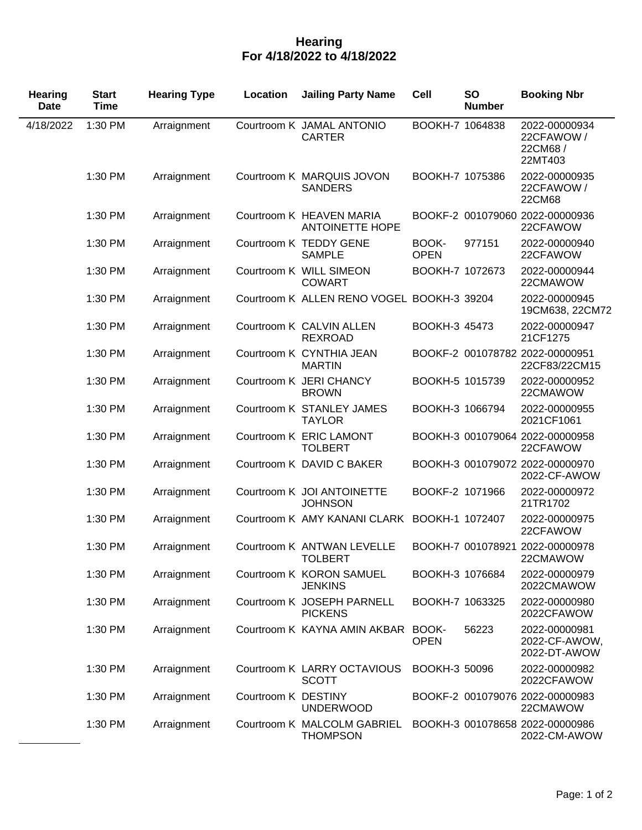## **Hearing For 4/18/2022 to 4/18/2022**

| <b>Hearing</b><br><b>Date</b> | <b>Start</b><br><b>Time</b> | <b>Hearing Type</b> | Location            | <b>Jailing Party Name</b>                          | <b>Cell</b>          | <b>SO</b><br><b>Number</b> | <b>Booking Nbr</b>                                |
|-------------------------------|-----------------------------|---------------------|---------------------|----------------------------------------------------|----------------------|----------------------------|---------------------------------------------------|
| 4/18/2022                     | 1:30 PM                     | Arraignment         |                     | Courtroom K JAMAL ANTONIO<br><b>CARTER</b>         | BOOKH-7 1064838      |                            | 2022-00000934<br>22CFAWOW /<br>22CM68/<br>22MT403 |
|                               | 1:30 PM                     | Arraignment         |                     | Courtroom K MARQUIS JOVON<br><b>SANDERS</b>        | BOOKH-7 1075386      |                            | 2022-00000935<br>22CFAWOW /<br>22CM68             |
|                               | 1:30 PM                     | Arraignment         |                     | Courtroom K HEAVEN MARIA<br><b>ANTOINETTE HOPE</b> |                      |                            | BOOKF-2 001079060 2022-00000936<br>22CFAWOW       |
|                               | 1:30 PM                     | Arraignment         |                     | Courtroom K TEDDY GENE<br><b>SAMPLE</b>            | BOOK-<br><b>OPEN</b> | 977151                     | 2022-00000940<br>22CFAWOW                         |
|                               | 1:30 PM                     | Arraignment         |                     | Courtroom K WILL SIMEON<br><b>COWART</b>           | BOOKH-7 1072673      |                            | 2022-00000944<br>22CMAWOW                         |
|                               | 1:30 PM                     | Arraignment         |                     | Courtroom K ALLEN RENO VOGEL BOOKH-3 39204         |                      |                            | 2022-00000945<br>19CM638, 22CM72                  |
|                               | 1:30 PM                     | Arraignment         |                     | Courtroom K CALVIN ALLEN<br><b>REXROAD</b>         | BOOKH-3 45473        |                            | 2022-00000947<br>21CF1275                         |
|                               | 1:30 PM                     | Arraignment         |                     | Courtroom K CYNTHIA JEAN<br><b>MARTIN</b>          |                      |                            | BOOKF-2 001078782 2022-00000951<br>22CF83/22CM15  |
|                               | 1:30 PM                     | Arraignment         |                     | Courtroom K JERI CHANCY<br><b>BROWN</b>            | BOOKH-5 1015739      |                            | 2022-00000952<br>22CMAWOW                         |
|                               | 1:30 PM                     | Arraignment         |                     | Courtroom K STANLEY JAMES<br><b>TAYLOR</b>         | BOOKH-3 1066794      |                            | 2022-00000955<br>2021CF1061                       |
|                               | 1:30 PM                     | Arraignment         |                     | Courtroom K ERIC LAMONT<br><b>TOLBERT</b>          |                      |                            | BOOKH-3 001079064 2022-00000958<br>22CFAWOW       |
|                               | 1:30 PM                     | Arraignment         |                     | Courtroom K DAVID C BAKER                          |                      |                            | BOOKH-3 001079072 2022-00000970<br>2022-CF-AWOW   |
|                               | 1:30 PM                     | Arraignment         |                     | Courtroom K JOI ANTOINETTE<br><b>JOHNSON</b>       | BOOKF-2 1071966      |                            | 2022-00000972<br>21TR1702                         |
|                               | 1:30 PM                     | Arraignment         |                     | Courtroom K AMY KANANI CLARK BOOKH-1 1072407       |                      |                            | 2022-00000975<br>22CFAWOW                         |
|                               | 1:30 PM                     | Arraignment         |                     | Courtroom K ANTWAN LEVELLE<br><b>TOLBERT</b>       |                      |                            | BOOKH-7 001078921 2022-00000978<br>22CMAWOW       |
|                               | 1:30 PM                     | Arraignment         |                     | Courtroom K KORON SAMUEL<br><b>JENKINS</b>         | BOOKH-3 1076684      |                            | 2022-00000979<br>2022CMAWOW                       |
|                               | 1:30 PM                     | Arraignment         |                     | Courtroom K JOSEPH PARNELL<br><b>PICKENS</b>       | BOOKH-7 1063325      |                            | 2022-00000980<br>2022CFAWOW                       |
|                               | 1:30 PM                     | Arraignment         |                     | Courtroom K KAYNA AMIN AKBAR                       | BOOK-<br><b>OPEN</b> | 56223                      | 2022-00000981<br>2022-CF-AWOW,<br>2022-DT-AWOW    |
|                               | 1:30 PM                     | Arraignment         |                     | Courtroom K LARRY OCTAVIOUS<br><b>SCOTT</b>        | BOOKH-3 50096        |                            | 2022-00000982<br>2022CFAWOW                       |
|                               | 1:30 PM                     | Arraignment         | Courtroom K DESTINY | <b>UNDERWOOD</b>                                   |                      |                            | BOOKF-2 001079076 2022-00000983<br>22CMAWOW       |
|                               | 1:30 PM                     | Arraignment         |                     | Courtroom K MALCOLM GABRIEL<br><b>THOMPSON</b>     |                      |                            | BOOKH-3 001078658 2022-00000986<br>2022-CM-AWOW   |